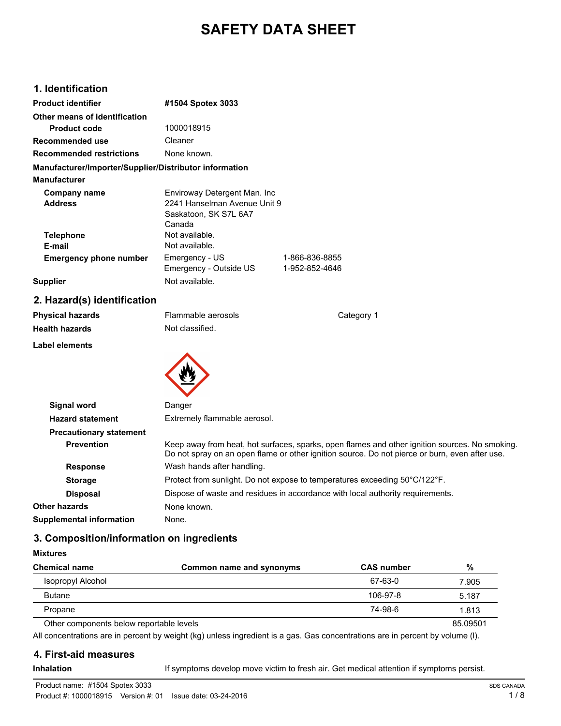# **SAFETY DATA SHEET**

## **1. Identification**

| <b>Product identifier</b>                              | #1504 Spotex 3033            |                |
|--------------------------------------------------------|------------------------------|----------------|
| Other means of identification                          |                              |                |
| <b>Product code</b>                                    | 1000018915                   |                |
| Recommended use                                        | Cleaner                      |                |
| <b>Recommended restrictions</b>                        | None known.                  |                |
| Manufacturer/Importer/Supplier/Distributor information |                              |                |
| <b>Manufacturer</b>                                    |                              |                |
| Company name                                           | Enviroway Detergent Man. Inc |                |
| <b>Address</b>                                         | 2241 Hanselman Avenue Unit 9 |                |
|                                                        | Saskatoon, SK S7L 6A7        |                |
|                                                        | Canada                       |                |
| <b>Telephone</b>                                       | Not available.               |                |
| E-mail                                                 | Not available.               |                |
| <b>Emergency phone number</b>                          | Emergency - US               | 1-866-836-8855 |
|                                                        | Emergency - Outside US       | 1-952-852-4646 |
| <b>Supplier</b>                                        | Not available.               |                |

## **2. Hazard(s) identification**

| <b>Physical hazards</b><br><b>Health hazards</b> | Flammable aerosols<br>Not classified.  | Category 1 |
|--------------------------------------------------|----------------------------------------|------------|
| <b>Label elements</b>                            |                                        |            |
| <b>Signal word</b><br><b>Hazard statement</b>    | Danger<br>Extremely flammable aerosol. |            |

| <b>Hazaru Statement</b>         | LAUGHIGIY HAHHHADIG AGIUSUI.                                                                                                                                                                     |
|---------------------------------|--------------------------------------------------------------------------------------------------------------------------------------------------------------------------------------------------|
| <b>Precautionary statement</b>  |                                                                                                                                                                                                  |
| <b>Prevention</b>               | Keep away from heat, hot surfaces, sparks, open flames and other ignition sources. No smoking.<br>Do not spray on an open flame or other ignition source. Do not pierce or burn, even after use. |
| <b>Response</b>                 | Wash hands after handling.                                                                                                                                                                       |
| <b>Storage</b>                  | Protect from sunlight. Do not expose to temperatures exceeding 50°C/122°F.                                                                                                                       |
| <b>Disposal</b>                 | Dispose of waste and residues in accordance with local authority requirements.                                                                                                                   |
| Other hazards                   | None known.                                                                                                                                                                                      |
| <b>Supplemental information</b> | None.                                                                                                                                                                                            |
|                                 |                                                                                                                                                                                                  |

## **3. Composition/information on ingredients**

| <b>Chemical name</b>                     | Common name and synonyms | <b>CAS</b> number | %        |
|------------------------------------------|--------------------------|-------------------|----------|
| Isopropyl Alcohol                        |                          | 67-63-0           | 7.905    |
| <b>Butane</b>                            |                          | 106-97-8          | 5.187    |
| Propane                                  |                          | 74-98-6           | 1.813    |
| Other components below reportable levels |                          |                   | 85.09501 |

All concentrations are in percent by weight (kg) unless ingredient is a gas. Gas concentrations are in percent by volume (l).

#### **4. First-aid measures**

**Mixtures**

Inhalation **Inhalation** If symptoms develop move victim to fresh air. Get medical attention if symptoms persist.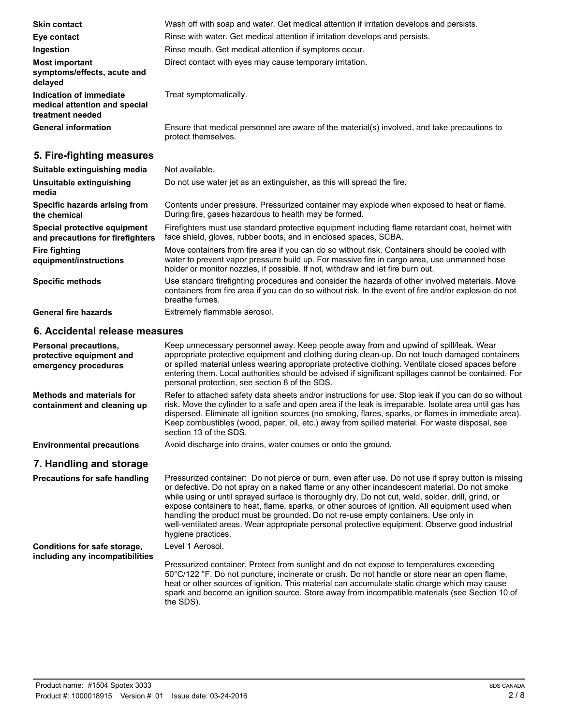| <b>Skin contact</b>                                                          | Wash off with soap and water. Get medical attention if irritation develops and persists.                                                                                                                                                                                         |  |
|------------------------------------------------------------------------------|----------------------------------------------------------------------------------------------------------------------------------------------------------------------------------------------------------------------------------------------------------------------------------|--|
| Eye contact                                                                  | Rinse with water. Get medical attention if irritation develops and persists.                                                                                                                                                                                                     |  |
| Ingestion                                                                    | Rinse mouth. Get medical attention if symptoms occur.                                                                                                                                                                                                                            |  |
| <b>Most important</b><br>symptoms/effects, acute and<br>delayed              | Direct contact with eyes may cause temporary irritation.                                                                                                                                                                                                                         |  |
| Indication of immediate<br>medical attention and special<br>treatment needed | Treat symptomatically.                                                                                                                                                                                                                                                           |  |
| <b>General information</b>                                                   | Ensure that medical personnel are aware of the material(s) involved, and take precautions to<br>protect themselves.                                                                                                                                                              |  |
| 5. Fire-fighting measures                                                    |                                                                                                                                                                                                                                                                                  |  |
| Suitable extinguishing media                                                 | Not available.                                                                                                                                                                                                                                                                   |  |
| Unsuitable extinguishing<br>media                                            | Do not use water jet as an extinguisher, as this will spread the fire.                                                                                                                                                                                                           |  |
| Specific hazards arising from<br>the chemical                                | Contents under pressure. Pressurized container may explode when exposed to heat or flame.<br>During fire, gases hazardous to health may be formed.                                                                                                                               |  |
| Special protective equipment<br>and precautions for firefighters             | Firefighters must use standard protective equipment including flame retardant coat, helmet with<br>face shield, gloves, rubber boots, and in enclosed spaces, SCBA.                                                                                                              |  |
| <b>Fire fighting</b><br>equipment/instructions                               | Move containers from fire area if you can do so without risk. Containers should be cooled with<br>water to prevent vapor pressure build up. For massive fire in cargo area, use unmanned hose<br>holder or monitor nozzles, if possible. If not, withdraw and let fire burn out. |  |

Use standard firefighting procedures and consider the hazards of other involved materials. Move containers from fire area if you can do so without risk. In the event of fire and/or explosion do not breathe fumes. **Specific methods**

General fire hazards **Extremely flammable aerosol.** 

#### **6. Accidental release measures**

| <b>Personal precautions,</b><br>protective equipment and<br>emergency procedures | Keep unnecessary personnel away. Keep people away from and upwind of spill/leak. Wear<br>appropriate protective equipment and clothing during clean-up. Do not touch damaged containers<br>or spilled material unless wearing appropriate protective clothing. Ventilate closed spaces before<br>entering them. Local authorities should be advised if significant spillages cannot be contained. For<br>personal protection, see section 8 of the SDS.                                                                                                                                                                    |
|----------------------------------------------------------------------------------|----------------------------------------------------------------------------------------------------------------------------------------------------------------------------------------------------------------------------------------------------------------------------------------------------------------------------------------------------------------------------------------------------------------------------------------------------------------------------------------------------------------------------------------------------------------------------------------------------------------------------|
| Methods and materials for<br>containment and cleaning up                         | Refer to attached safety data sheets and/or instructions for use. Stop leak if you can do so without<br>risk. Move the cylinder to a safe and open area if the leak is irreparable. Isolate area until gas has<br>dispersed. Eliminate all ignition sources (no smoking, flares, sparks, or flames in immediate area).<br>Keep combustibles (wood, paper, oil, etc.) away from spilled material. For waste disposal, see<br>section 13 of the SDS.                                                                                                                                                                         |
| <b>Environmental precautions</b>                                                 | Avoid discharge into drains, water courses or onto the ground.                                                                                                                                                                                                                                                                                                                                                                                                                                                                                                                                                             |
| 7. Handling and storage                                                          |                                                                                                                                                                                                                                                                                                                                                                                                                                                                                                                                                                                                                            |
| <b>Precautions for safe handling</b>                                             | Pressurized container: Do not pierce or burn, even after use. Do not use if spray button is missing<br>or defective. Do not spray on a naked flame or any other incandescent material. Do not smoke<br>while using or until sprayed surface is thoroughly dry. Do not cut, weld, solder, drill, grind, or<br>expose containers to heat, flame, sparks, or other sources of ignition. All equipment used when<br>handling the product must be grounded. Do not re-use empty containers. Use only in<br>well-ventilated areas. Wear appropriate personal protective equipment. Observe good industrial<br>hygiene practices. |
| Conditions for safe storage,<br>including any incompatibilities                  | Level 1 Aerosol.<br>Pressurized container. Protect from sunlight and do not expose to temperatures exceeding                                                                                                                                                                                                                                                                                                                                                                                                                                                                                                               |
|                                                                                  |                                                                                                                                                                                                                                                                                                                                                                                                                                                                                                                                                                                                                            |

Pressurized container. Protect from sunlight and do not expose to temperatures exceeding 50°C/122 °F. Do not puncture, incinerate or crush. Do not handle or store near an open flame, heat or other sources of ignition. This material can accumulate static charge which may cause spark and become an ignition source. Store away from incompatible materials (see Section 10 of the SDS).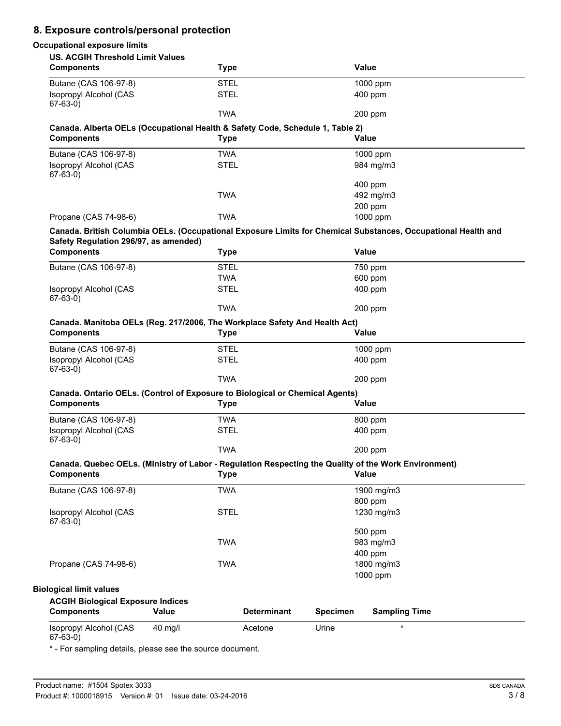## **8. Exposure controls/personal protection**

| <b>Occupational exposure limits</b>                                        |                                                                               |                    |                                                                                                               |
|----------------------------------------------------------------------------|-------------------------------------------------------------------------------|--------------------|---------------------------------------------------------------------------------------------------------------|
| <b>US. ACGIH Threshold Limit Values</b>                                    |                                                                               |                    |                                                                                                               |
| <b>Components</b>                                                          | <b>Type</b>                                                                   |                    | Value                                                                                                         |
| Butane (CAS 106-97-8)                                                      | <b>STEL</b>                                                                   |                    | 1000 ppm                                                                                                      |
| <b>Isopropyl Alcohol (CAS</b><br>$67-63-0)$                                | <b>STEL</b>                                                                   |                    | 400 ppm                                                                                                       |
|                                                                            | <b>TWA</b>                                                                    |                    | 200 ppm                                                                                                       |
|                                                                            | Canada. Alberta OELs (Occupational Health & Safety Code, Schedule 1, Table 2) |                    |                                                                                                               |
| <b>Components</b>                                                          | <b>Type</b>                                                                   |                    | Value                                                                                                         |
| Butane (CAS 106-97-8)                                                      | <b>TWA</b>                                                                    |                    | 1000 ppm                                                                                                      |
| <b>Isopropyl Alcohol (CAS</b>                                              | <b>STEL</b>                                                                   |                    | 984 mg/m3                                                                                                     |
| $67-63-0)$                                                                 |                                                                               |                    | 400 ppm                                                                                                       |
|                                                                            | <b>TWA</b>                                                                    |                    | 492 mg/m3                                                                                                     |
|                                                                            |                                                                               |                    | 200 ppm                                                                                                       |
| Propane (CAS 74-98-6)                                                      | <b>TWA</b>                                                                    |                    | 1000 ppm                                                                                                      |
|                                                                            |                                                                               |                    | Canada. British Columbia OELs. (Occupational Exposure Limits for Chemical Substances, Occupational Health and |
| Safety Regulation 296/97, as amended)                                      |                                                                               |                    |                                                                                                               |
| <b>Components</b>                                                          | <b>Type</b>                                                                   |                    | Value                                                                                                         |
| Butane (CAS 106-97-8)                                                      | <b>STEL</b>                                                                   |                    | 750 ppm                                                                                                       |
|                                                                            | <b>TWA</b>                                                                    |                    | 600 ppm                                                                                                       |
| Isopropyl Alcohol (CAS                                                     | <b>STEL</b>                                                                   |                    | 400 ppm                                                                                                       |
| $67-63-0)$                                                                 |                                                                               |                    |                                                                                                               |
|                                                                            | <b>TWA</b>                                                                    |                    | 200 ppm                                                                                                       |
| Canada. Manitoba OELs (Reg. 217/2006, The Workplace Safety And Health Act) |                                                                               |                    |                                                                                                               |
| <b>Components</b>                                                          | <b>Type</b>                                                                   |                    | <b>Value</b>                                                                                                  |
| Butane (CAS 106-97-8)                                                      | <b>STEL</b>                                                                   |                    | 1000 ppm                                                                                                      |
| Isopropyl Alcohol (CAS                                                     | <b>STEL</b>                                                                   |                    | 400 ppm                                                                                                       |
| $67-63-0)$                                                                 |                                                                               |                    |                                                                                                               |
|                                                                            | <b>TWA</b>                                                                    |                    | 200 ppm                                                                                                       |
|                                                                            | Canada. Ontario OELs. (Control of Exposure to Biological or Chemical Agents)  |                    |                                                                                                               |
| <b>Components</b>                                                          | <b>Type</b>                                                                   |                    | Value                                                                                                         |
| Butane (CAS 106-97-8)                                                      | <b>TWA</b>                                                                    |                    | 800 ppm                                                                                                       |
| Isopropyl Alcohol (CAS                                                     | <b>STEL</b>                                                                   |                    | 400 ppm                                                                                                       |
| 67-63-0)                                                                   |                                                                               |                    |                                                                                                               |
|                                                                            | <b>TWA</b>                                                                    |                    | 200 ppm                                                                                                       |
|                                                                            |                                                                               |                    | Canada. Quebec OELs. (Ministry of Labor - Regulation Respecting the Quality of the Work Environment)          |
| <b>Components</b>                                                          | <b>Type</b>                                                                   |                    | Value                                                                                                         |
| Butane (CAS 106-97-8)                                                      | <b>TWA</b>                                                                    |                    | 1900 mg/m3                                                                                                    |
|                                                                            |                                                                               |                    | 800 ppm                                                                                                       |
| Isopropyl Alcohol (CAS<br>$67-63-0$                                        | <b>STEL</b>                                                                   |                    | 1230 mg/m3                                                                                                    |
|                                                                            |                                                                               |                    | 500 ppm                                                                                                       |
|                                                                            | <b>TWA</b>                                                                    |                    | 983 mg/m3                                                                                                     |
|                                                                            |                                                                               |                    | 400 ppm                                                                                                       |
| Propane (CAS 74-98-6)                                                      | <b>TWA</b>                                                                    |                    | 1800 mg/m3                                                                                                    |
|                                                                            |                                                                               |                    | 1000 ppm                                                                                                      |
| <b>Biological limit values</b>                                             |                                                                               |                    |                                                                                                               |
| <b>ACGIH Biological Exposure Indices</b>                                   |                                                                               |                    |                                                                                                               |
| <b>Components</b>                                                          | Value                                                                         | <b>Determinant</b> | <b>Specimen</b><br><b>Sampling Time</b>                                                                       |
| Isopropyl Alcohol (CAS                                                     | 40 mg/l                                                                       | Acetone            | $\star$<br>Urine                                                                                              |

67-63-0)

\* - For sampling details, please see the source document.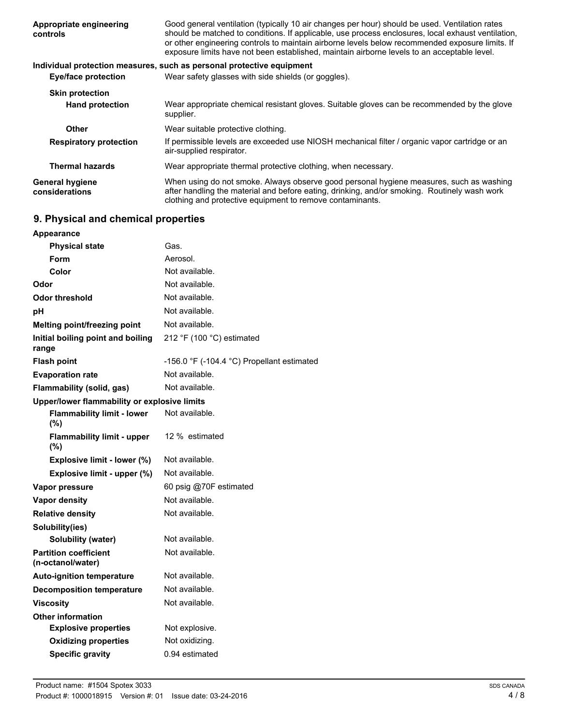| Appropriate engineering<br>controls      | Good general ventilation (typically 10 air changes per hour) should be used. Ventilation rates<br>should be matched to conditions. If applicable, use process enclosures, local exhaust ventilation,<br>or other engineering controls to maintain airborne levels below recommended exposure limits. If<br>exposure limits have not been established, maintain airborne levels to an acceptable level. |
|------------------------------------------|--------------------------------------------------------------------------------------------------------------------------------------------------------------------------------------------------------------------------------------------------------------------------------------------------------------------------------------------------------------------------------------------------------|
|                                          | Individual protection measures, such as personal protective equipment                                                                                                                                                                                                                                                                                                                                  |
| <b>Eye/face protection</b>               | Wear safety glasses with side shields (or goggles).                                                                                                                                                                                                                                                                                                                                                    |
| <b>Skin protection</b>                   |                                                                                                                                                                                                                                                                                                                                                                                                        |
| <b>Hand protection</b>                   | Wear appropriate chemical resistant gloves. Suitable gloves can be recommended by the glove<br>supplier.                                                                                                                                                                                                                                                                                               |
| <b>Other</b>                             | Wear suitable protective clothing.                                                                                                                                                                                                                                                                                                                                                                     |
| <b>Respiratory protection</b>            | If permissible levels are exceeded use NIOSH mechanical filter / organic vapor cartridge or an<br>air-supplied respirator.                                                                                                                                                                                                                                                                             |
| <b>Thermal hazards</b>                   | Wear appropriate thermal protective clothing, when necessary.                                                                                                                                                                                                                                                                                                                                          |
| <b>General hygiene</b><br>considerations | When using do not smoke. Always observe good personal hygiene measures, such as washing<br>after handling the material and before eating, drinking, and/or smoking. Routinely wash work<br>clothing and protective equipment to remove contaminants.                                                                                                                                                   |

## **9. Physical and chemical properties**

| <b>Appearance</b>                                 |                                            |  |
|---------------------------------------------------|--------------------------------------------|--|
| <b>Physical state</b>                             | Gas.                                       |  |
| Form                                              | Aerosol.                                   |  |
| Color                                             | Not available.                             |  |
| Odor                                              | Not available.                             |  |
| <b>Odor threshold</b>                             | Not available.                             |  |
| рH                                                | Not available.                             |  |
| Melting point/freezing point                      | Not available.                             |  |
| Initial boiling point and boiling<br>range        | 212 °F (100 °C) estimated                  |  |
| <b>Flash point</b>                                | -156.0 °F (-104.4 °C) Propellant estimated |  |
| <b>Evaporation rate</b>                           | Not available.                             |  |
| Flammability (solid, gas)                         | Not available.                             |  |
| Upper/lower flammability or explosive limits      |                                            |  |
| <b>Flammability limit - lower</b><br>(%)          | Not available.                             |  |
| <b>Flammability limit - upper</b><br>(%)          | 12 % estimated                             |  |
| Explosive limit - lower (%)                       | Not available.                             |  |
| Explosive limit - upper (%)                       | Not available.                             |  |
| Vapor pressure                                    | 60 psig @70F estimated                     |  |
| <b>Vapor density</b>                              | Not available.                             |  |
| <b>Relative density</b>                           | Not available.                             |  |
| Solubility(ies)                                   |                                            |  |
| <b>Solubility (water)</b>                         | Not available.                             |  |
| <b>Partition coefficient</b><br>(n-octanol/water) | Not available.                             |  |
| <b>Auto-ignition temperature</b>                  | Not available.                             |  |
| <b>Decomposition temperature</b>                  | Not available.                             |  |
| Viscosity                                         | Not available.                             |  |
| <b>Other information</b>                          |                                            |  |
| <b>Explosive properties</b>                       | Not explosive.                             |  |
| <b>Oxidizing properties</b>                       | Not oxidizing.                             |  |
| <b>Specific gravity</b>                           | 0.94 estimated                             |  |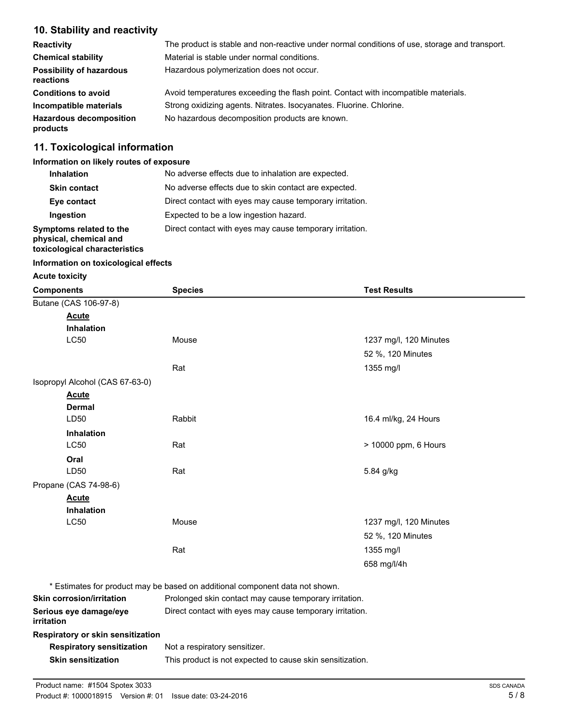## **10. Stability and reactivity**

| <b>Reactivity</b>                            | The product is stable and non-reactive under normal conditions of use, storage and transport. |
|----------------------------------------------|-----------------------------------------------------------------------------------------------|
| <b>Chemical stability</b>                    | Material is stable under normal conditions.                                                   |
| <b>Possibility of hazardous</b><br>reactions | Hazardous polymerization does not occur.                                                      |
| <b>Conditions to avoid</b>                   | Avoid temperatures exceeding the flash point. Contact with incompatible materials.            |
| Incompatible materials                       | Strong oxidizing agents. Nitrates. Isocyanates. Fluorine. Chlorine.                           |
| <b>Hazardous decomposition</b><br>products   | No hazardous decomposition products are known.                                                |

## **11. Toxicological information**

#### **Information on likely routes of exposure**

| <b>Inhalation</b>                                                                  | No adverse effects due to inhalation are expected.       |
|------------------------------------------------------------------------------------|----------------------------------------------------------|
| <b>Skin contact</b>                                                                | No adverse effects due to skin contact are expected.     |
| Eye contact                                                                        | Direct contact with eyes may cause temporary irritation. |
| Ingestion                                                                          | Expected to be a low ingestion hazard.                   |
| Symptoms related to the<br>physical, chemical and<br>toxicological characteristics | Direct contact with eyes may cause temporary irritation. |

#### **Information on toxicological effects**

#### **Acute toxicity**

| <b>Components</b>                           | <b>Species</b>                                                               | <b>Test Results</b>    |
|---------------------------------------------|------------------------------------------------------------------------------|------------------------|
| Butane (CAS 106-97-8)                       |                                                                              |                        |
| <b>Acute</b>                                |                                                                              |                        |
| <b>Inhalation</b>                           |                                                                              |                        |
| <b>LC50</b>                                 | Mouse                                                                        | 1237 mg/l, 120 Minutes |
|                                             |                                                                              | 52 %, 120 Minutes      |
|                                             | Rat                                                                          | 1355 mg/l              |
| Isopropyl Alcohol (CAS 67-63-0)             |                                                                              |                        |
| <b>Acute</b>                                |                                                                              |                        |
| <b>Dermal</b>                               |                                                                              |                        |
| LD50                                        | Rabbit                                                                       | 16.4 ml/kg, 24 Hours   |
| <b>Inhalation</b>                           |                                                                              |                        |
| <b>LC50</b>                                 | Rat                                                                          | > 10000 ppm, 6 Hours   |
| Oral                                        |                                                                              |                        |
| LD50                                        | Rat                                                                          | 5.84 g/kg              |
| Propane (CAS 74-98-6)                       |                                                                              |                        |
| <b>Acute</b>                                |                                                                              |                        |
| Inhalation                                  |                                                                              |                        |
| <b>LC50</b>                                 | Mouse                                                                        | 1237 mg/l, 120 Minutes |
|                                             |                                                                              | 52 %, 120 Minutes      |
|                                             | Rat                                                                          | 1355 mg/l              |
|                                             |                                                                              | 658 mg/l/4h            |
|                                             | * Estimates for product may be based on additional component data not shown. |                        |
| <b>Skin corrosion/irritation</b>            | Prolonged skin contact may cause temporary irritation.                       |                        |
| Serious eye damage/eye<br><i>irritation</i> | Direct contact with eyes may cause temporary irritation.                     |                        |
| Respiratory or skin sensitization           |                                                                              |                        |
| <b>Respiratory sensitization</b>            | Not a respiratory sensitizer.                                                |                        |
| <b>Skin sensitization</b>                   | This product is not expected to cause skin sensitization.                    |                        |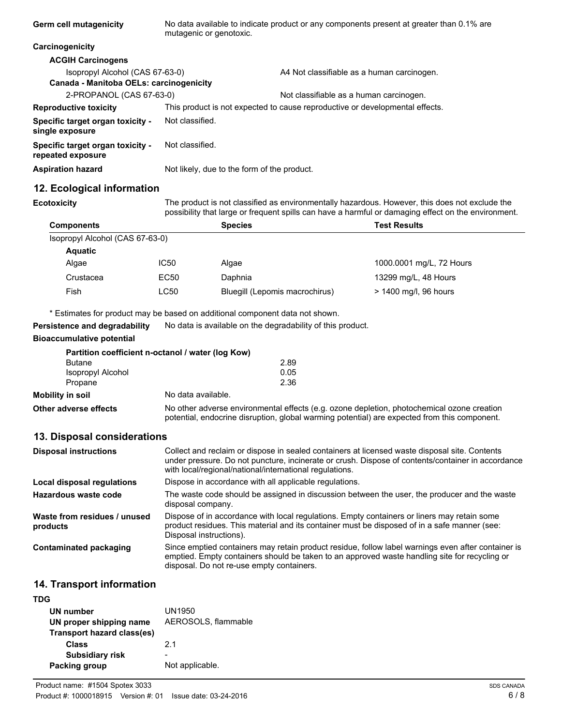| Germ cell mutagenicity                                                     | No data available to indicate product or any components present at greater than 0.1% are<br>mutagenic or genotoxic. |                                            |
|----------------------------------------------------------------------------|---------------------------------------------------------------------------------------------------------------------|--------------------------------------------|
| Carcinogenicity                                                            |                                                                                                                     |                                            |
| <b>ACGIH Carcinogens</b>                                                   |                                                                                                                     |                                            |
| Isopropyl Alcohol (CAS 67-63-0)<br>Canada - Manitoba OELs: carcinogenicity |                                                                                                                     | A4 Not classifiable as a human carcinogen. |
| 2-PROPANOL (CAS 67-63-0)                                                   |                                                                                                                     | Not classifiable as a human carcinogen.    |
| <b>Reproductive toxicity</b>                                               | This product is not expected to cause reproductive or developmental effects.                                        |                                            |
| Specific target organ toxicity -<br>single exposure                        | Not classified.                                                                                                     |                                            |
| Specific target organ toxicity -<br>repeated exposure                      | Not classified.                                                                                                     |                                            |
| <b>Aspiration hazard</b>                                                   | Not likely, due to the form of the product.                                                                         |                                            |

## **12. Ecological information**

**Ecotoxicity**

The product is not classified as environmentally hazardous. However, this does not exclude the possibility that large or frequent spills can have a harmful or damaging effect on the environment.

| <b>Components</b>               |             | <b>Species</b>                 | <b>Test Results</b>      |
|---------------------------------|-------------|--------------------------------|--------------------------|
| Isopropyl Alcohol (CAS 67-63-0) |             |                                |                          |
| <b>Aquatic</b>                  |             |                                |                          |
| Algae                           | <b>IC50</b> | Algae                          | 1000.0001 mg/L, 72 Hours |
| Crustacea                       | EC50        | Daphnia                        | 13299 mg/L, 48 Hours     |
| Fish                            | LC50        | Bluegill (Lepomis macrochirus) | > 1400 mg/l, 96 hours    |

\* Estimates for product may be based on additional component data not shown.

**Persistence and degradability** No data is available on the degradability of this product.

#### **Bioaccumulative potential**

|                   | Partition coefficient n-octanol / water (log Kow) |      |
|-------------------|---------------------------------------------------|------|
| <b>Butane</b>     |                                                   | 2.89 |
| Isopropyl Alcohol |                                                   | 0.05 |
| Propane           |                                                   | 2.36 |
| Mobility in soil  | No data available.                                |      |

**Other adverse effects** No other adverse environmental effects (e.g. ozone depletion, photochemical ozone creation potential, endocrine disruption, global warming potential) are expected from this component.

#### **13. Disposal considerations**

| <b>Disposal instructions</b>             | Collect and reclaim or dispose in sealed containers at licensed waste disposal site. Contents<br>under pressure. Do not puncture, incinerate or crush. Dispose of contents/container in accordance<br>with local/regional/national/international regulations. |
|------------------------------------------|---------------------------------------------------------------------------------------------------------------------------------------------------------------------------------------------------------------------------------------------------------------|
| Local disposal regulations               | Dispose in accordance with all applicable regulations.                                                                                                                                                                                                        |
| Hazardous waste code                     | The waste code should be assigned in discussion between the user, the producer and the waste<br>disposal company.                                                                                                                                             |
| Waste from residues / unused<br>products | Dispose of in accordance with local regulations. Empty containers or liners may retain some<br>product residues. This material and its container must be disposed of in a safe manner (see:<br>Disposal instructions).                                        |
| <b>Contaminated packaging</b>            | Since emptied containers may retain product residue, follow label warnings even after container is<br>emptied. Empty containers should be taken to an approved waste handling site for recycling or<br>disposal. Do not re-use empty containers.              |

### **14. Transport information**

| UN1950              |
|---------------------|
| AEROSOLS, flammable |
|                     |
| 21                  |
|                     |
| Not applicable.     |
|                     |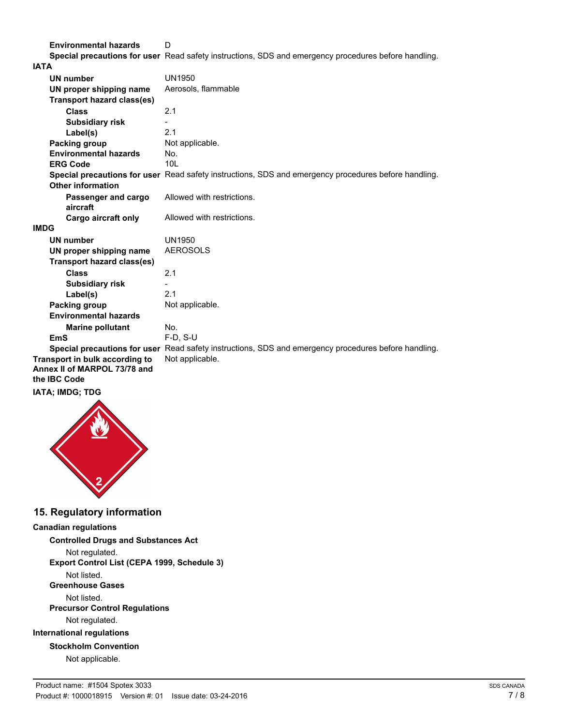**Environmental hazards** D **Special precautions for user** Read safety instructions, SDS and emergency procedures before handling.

| <b>IATA</b>                                                                    |                                                                                                      |
|--------------------------------------------------------------------------------|------------------------------------------------------------------------------------------------------|
| <b>UN number</b>                                                               | UN1950                                                                                               |
| UN proper shipping name                                                        | Aerosols, flammable                                                                                  |
| <b>Transport hazard class(es)</b>                                              |                                                                                                      |
| <b>Class</b>                                                                   | 2.1                                                                                                  |
| <b>Subsidiary risk</b>                                                         |                                                                                                      |
| Label(s)                                                                       | 2.1                                                                                                  |
| Packing group                                                                  | Not applicable.                                                                                      |
| <b>Environmental hazards</b>                                                   | No.                                                                                                  |
| <b>ERG Code</b>                                                                | 10 <sub>L</sub>                                                                                      |
| <b>Other information</b>                                                       | Special precautions for user Read safety instructions, SDS and emergency procedures before handling. |
| Passenger and cargo<br>aircraft                                                | Allowed with restrictions.                                                                           |
| <b>Cargo aircraft only</b>                                                     | Allowed with restrictions.                                                                           |
| <b>IMDG</b>                                                                    |                                                                                                      |
| <b>UN number</b>                                                               | <b>UN1950</b>                                                                                        |
| UN proper shipping name                                                        | <b>AEROSOLS</b>                                                                                      |
| Transport hazard class(es)                                                     |                                                                                                      |
| <b>Class</b>                                                                   | 2.1                                                                                                  |
| <b>Subsidiary risk</b>                                                         |                                                                                                      |
| Label(s)                                                                       | 2.1                                                                                                  |
| Packing group                                                                  | Not applicable.                                                                                      |
| <b>Environmental hazards</b>                                                   |                                                                                                      |
| <b>Marine pollutant</b>                                                        | No.                                                                                                  |
| <b>EmS</b>                                                                     | $F-D, S-U$                                                                                           |
|                                                                                | Special precautions for user Read safety instructions, SDS and emergency procedures before handling. |
| Transport in bulk according to<br>Annex II of MARPOL 73/78 and<br>the IBC Code | Not applicable.                                                                                      |
| <b>IATA; IMDG; TDG</b>                                                         |                                                                                                      |



## **15. Regulatory information**

#### **Canadian regulations**

**Controlled Drugs and Substances Act** Not regulated. **Export Control List (CEPA 1999, Schedule 3)** Not listed. **Greenhouse Gases** Not listed. **Precursor Control Regulations** Not regulated. **International regulations Stockholm Convention** Not applicable.